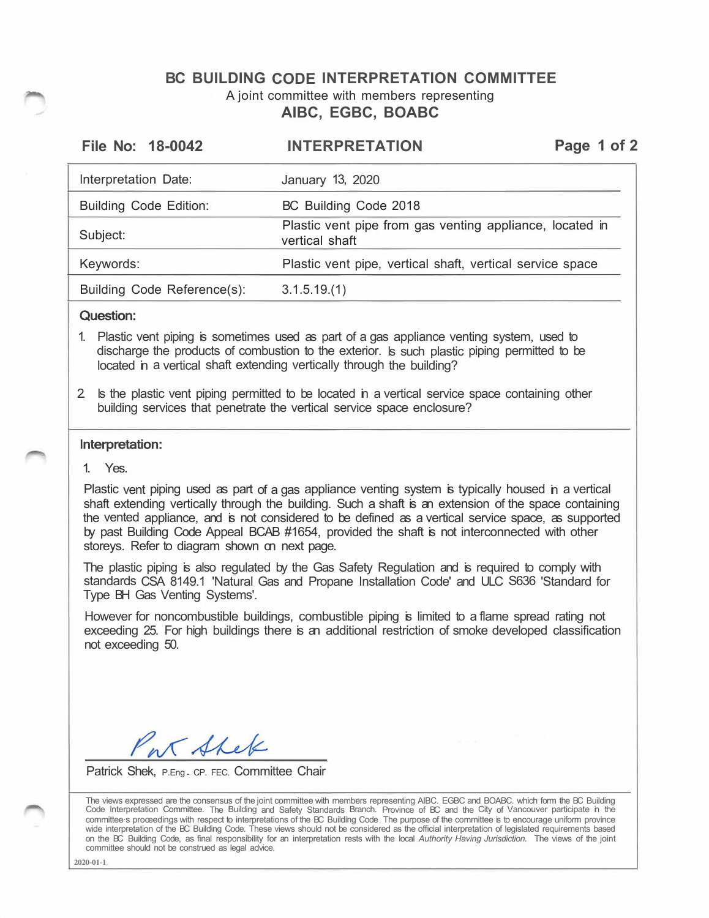## **BC BUILDING CODE INTERPRETATION COMMITTEE**  A joint committee with members representing **AIBC, EGBC, BOABC**

| File No: 18-0042              | <b>INTERPRETATION</b>                                                      | Page 1 of 2 |
|-------------------------------|----------------------------------------------------------------------------|-------------|
| Interpretation Date:          | January 13, 2020                                                           |             |
| <b>Building Code Edition:</b> | BC Building Code 2018                                                      |             |
| Subject:                      | Plastic vent pipe from gas venting appliance, located in<br>vertical shaft |             |
| Keywords:                     | Plastic vent pipe, vertical shaft, vertical service space                  |             |
| Building Code Reference(s):   | 3.1.5.19(1)                                                                |             |

### Question:

- 1. Plastic vent piping is sometimes used as part of a gas appliance venting system, used to discharge the products of combustion to the exterior. ls such plastic piping permitted to be located in a vertical shaft extending vertically through the building?
- 2. ls the plastic vent piping permitted to be located in a vertical service space containing other building services that penetrate the vertical service space enclosure?

### lnterpretation:

1. Yes.

Plastic vent piping used as part of a gas appliance venting system is typically housed in a vertical shaft extending vertically through the building. Such a shaft is an extension of the space containing the vented appliance, and is not considered to be defined as a vertical service space, as supported by past Building Code Appeal BCAB #1654, provided the shaft is not interconnected with other storeys. Refer to diagram shown on next page.

The plastic piping is also regulated by the Gas Safety Regulation and is required to comply with standards CSA 8149.1 'Natural Gas and Propane Installation Code' and ULC S636 'Standard for Type BH Gas Venting Systems'.

However for noncombustible buildings, combustible piping is limited to a flame spread rating not exceeding 25. For high buildings there is an additional restriction of smoke developed classification not exceeding 50.

ar Shek

Patrick Shek, P.Eng. CP. FEC. Committee Chair

The views expressed are the consensus of the joint committee with members representing AIBC. EGBC and BOABC. which form the BC Building Code lnterpretation Committee. The Building and Safety Standards Branch. Province of BC and the City of Vancouver participate in the committee·s proœedings with respect to interpretations of the BC Building Code The purpose of the committee is to encourage uniform province wide interpretation of the BC Building Code. These views should not be considered as the official interpretation of legislated requirements based on the BC Building Code, as final responsibility for an interpretation rests with the local *Authority Having Jurisdiction.* The views of the joint committee should not be construed as legal advice.

**2020-01-1**